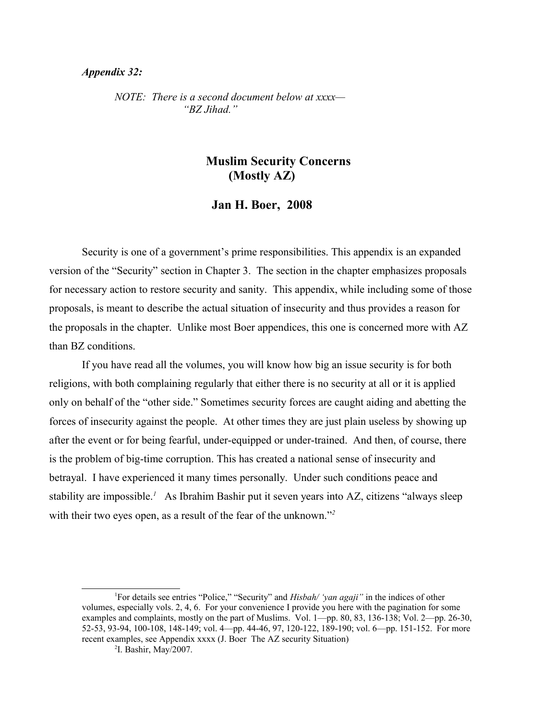### *Appendix 32:*

*NOTE: There is a second document below at xxxx— "BZ Jihad."*

# **Muslim Security Concerns (Mostly AZ)**

### **Jan H. Boer, 2008**

Security is one of a government's prime responsibilities. This appendix is an expanded version of the "Security" section in Chapter 3. The section in the chapter emphasizes proposals for necessary action to restore security and sanity. This appendix, while including some of those proposals, is meant to describe the actual situation of insecurity and thus provides a reason for the proposals in the chapter. Unlike most Boer appendices, this one is concerned more with AZ than BZ conditions.

If you have read all the volumes, you will know how big an issue security is for both religions, with both complaining regularly that either there is no security at all or it is applied only on behalf of the "other side." Sometimes security forces are caught aiding and abetting the forces of insecurity against the people. At other times they are just plain useless by showing up after the event or for being fearful, under-equipped or under-trained. And then, of course, there is the problem of big-time corruption. This has created a national sense of insecurity and betrayal. I have experienced it many times personally. Under such conditions peace and stability are impossible.*[1](#page-0-0)* As Ibrahim Bashir put it seven years into AZ, citizens "always sleep with their two eyes open, as a result of the fear of the unknown."<sup>[2](#page-0-1)</sup>

<span id="page-0-0"></span><sup>1</sup>For details see entries "Police," "Security" and *Hisbah/ 'yan agaji"* in the indices of other volumes, especially vols. 2, 4, 6. For your convenience I provide you here with the pagination for some examples and complaints, mostly on the part of Muslims. Vol. 1—pp. 80, 83, 136-138; Vol. 2—pp. 26-30, 52-53, 93-94, 100-108, 148-149; vol. 4—pp. 44-46, 97, 120-122, 189-190; vol. 6—pp. 151-152. For more recent examples, see Appendix xxxx (J. Boer The AZ security Situation)

<span id="page-0-1"></span><sup>2</sup> I. Bashir, May/2007.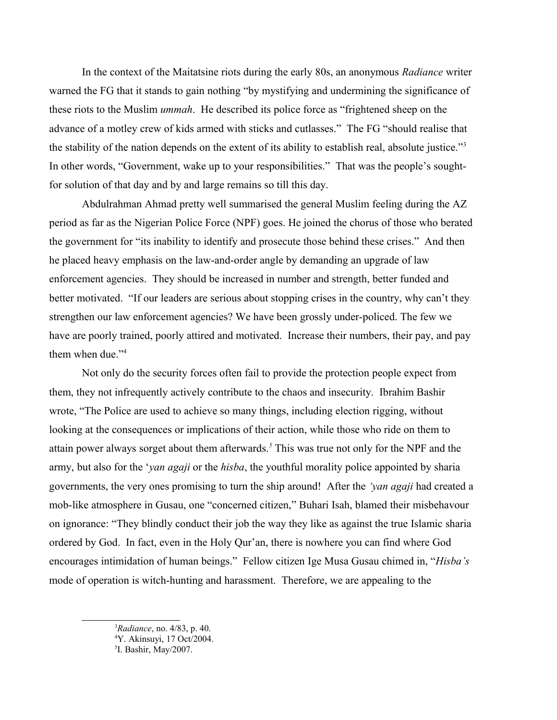In the context of the Maitatsine riots during the early 80s, an anonymous *Radiance* writer warned the FG that it stands to gain nothing "by mystifying and undermining the significance of these riots to the Muslim *ummah*. He described its police force as "frightened sheep on the advance of a motley crew of kids armed with sticks and cutlasses." The FG "should realise that the stability of the nation depends on the extent of its ability to establish real, absolute justice."<sup>[3](#page-1-0)</sup> In other words, "Government, wake up to your responsibilities." That was the people's soughtfor solution of that day and by and large remains so till this day.

Abdulrahman Ahmad pretty well summarised the general Muslim feeling during the AZ period as far as the Nigerian Police Force (NPF) goes. He joined the chorus of those who berated the government for "its inability to identify and prosecute those behind these crises." And then he placed heavy emphasis on the law-and-order angle by demanding an upgrade of law enforcement agencies. They should be increased in number and strength, better funded and better motivated. "If our leaders are serious about stopping crises in the country, why can't they strengthen our law enforcement agencies? We have been grossly under-policed. The few we have are poorly trained, poorly attired and motivated. Increase their numbers, their pay, and pay them when due."<sup>[4](#page-1-1)</sup>

Not only do the security forces often fail to provide the protection people expect from them, they not infrequently actively contribute to the chaos and insecurity. Ibrahim Bashir wrote, "The Police are used to achieve so many things, including election rigging, without looking at the consequences or implications of their action, while those who ride on them to attain power always sorget about them afterwards.*[5](#page-1-2)* This was true not only for the NPF and the army, but also for the '*yan agaji* or the *hisba*, the youthful morality police appointed by sharia governments, the very ones promising to turn the ship around! After the *'yan agaji* had created a mob-like atmosphere in Gusau, one "concerned citizen," Buhari Isah, blamed their misbehavour on ignorance: "They blindly conduct their job the way they like as against the true Islamic sharia ordered by God. In fact, even in the Holy Qur'an, there is nowhere you can find where God encourages intimidation of human beings." Fellow citizen Ige Musa Gusau chimed in, "*Hisba's* mode of operation is witch-hunting and harassment. Therefore, we are appealing to the

<span id="page-1-0"></span><sup>3</sup>*Radiance*, no. 4/83, p. 40.

<span id="page-1-1"></span><sup>4</sup>Y. Akinsuyi, 17 Oct/2004.

<span id="page-1-2"></span><sup>5</sup> I. Bashir, May/2007.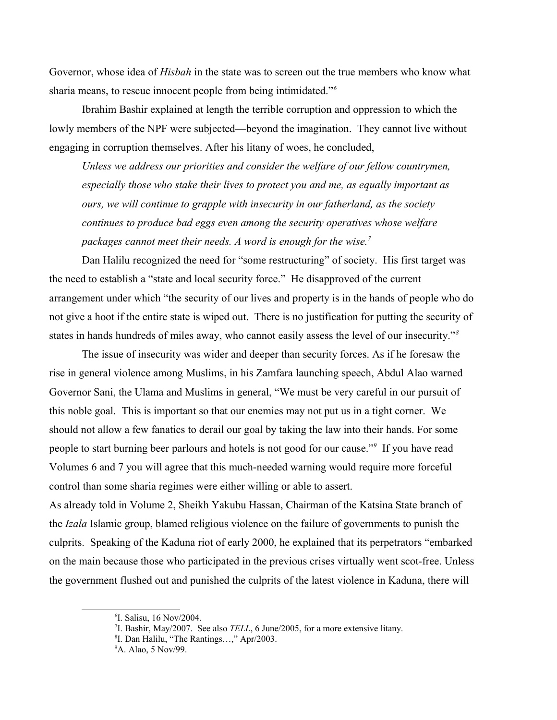Governor, whose idea of *Hisbah* in the state was to screen out the true members who know what sharia means, to rescue innocent people from being intimidated."*[6](#page-2-0)*

Ibrahim Bashir explained at length the terrible corruption and oppression to which the lowly members of the NPF were subjected—beyond the imagination. They cannot live without engaging in corruption themselves. After his litany of woes, he concluded,

*Unless we address our priorities and consider the welfare of our fellow countrymen, especially those who stake their lives to protect you and me, as equally important as ours, we will continue to grapple with insecurity in our fatherland, as the society continues to produce bad eggs even among the security operatives whose welfare packages cannot meet their needs. A word is enough for the wise.[7](#page-2-1)*

Dan Halilu recognized the need for "some restructuring" of society. His first target was the need to establish a "state and local security force." He disapproved of the current arrangement under which "the security of our lives and property is in the hands of people who do not give a hoot if the entire state is wiped out. There is no justification for putting the security of states in hands hundreds of miles away, who cannot easily assess the level of our insecurity."*[8](#page-2-2)*

The issue of insecurity was wider and deeper than security forces. As if he foresaw the rise in general violence among Muslims, in his Zamfara launching speech, Abdul Alao warned Governor Sani, the Ulama and Muslims in general, "We must be very careful in our pursuit of this noble goal. This is important so that our enemies may not put us in a tight corner. We should not allow a few fanatics to derail our goal by taking the law into their hands. For some people to start burning beer parlours and hotels is not good for our cause."*[9](#page-2-3)* If you have read Volumes 6 and 7 you will agree that this much-needed warning would require more forceful control than some sharia regimes were either willing or able to assert.

As already told in Volume 2, Sheikh Yakubu Hassan, Chairman of the Katsina State branch of the *Izala* Islamic group, blamed religious violence on the failure of governments to punish the culprits. Speaking of the Kaduna riot of early 2000, he explained that its perpetrators "embarked on the main because those who participated in the previous crises virtually went scot-free. Unless the government flushed out and punished the culprits of the latest violence in Kaduna, there will

<span id="page-2-0"></span><sup>6</sup> I. Salisu, 16 Nov/2004.

<span id="page-2-1"></span><sup>7</sup> I. Bashir, May/2007. See also *TELL*, 6 June/2005, for a more extensive litany.

<span id="page-2-2"></span><sup>8</sup> I. Dan Halilu, "The Rantings…," Apr/2003.

<span id="page-2-3"></span><sup>9</sup>A. Alao, 5 Nov/99.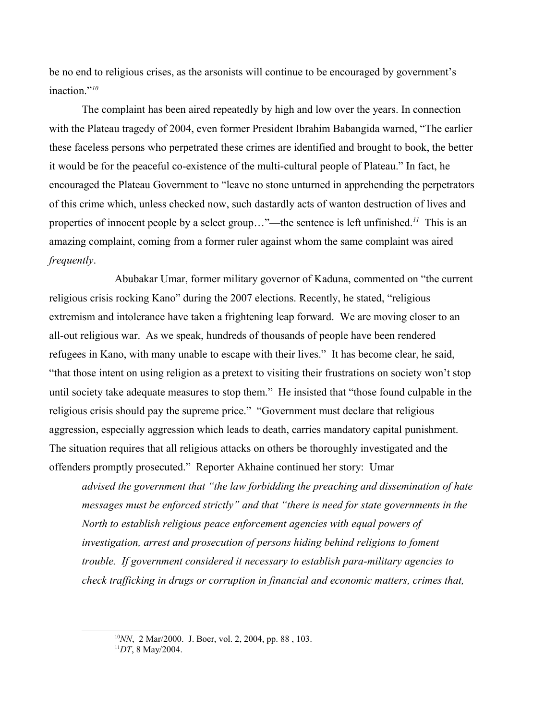be no end to religious crises, as the arsonists will continue to be encouraged by government's inaction."*[10](#page-3-0)*

The complaint has been aired repeatedly by high and low over the years. In connection with the Plateau tragedy of 2004, even former President Ibrahim Babangida warned, "The earlier these faceless persons who perpetrated these crimes are identified and brought to book, the better it would be for the peaceful co-existence of the multi-cultural people of Plateau." In fact, he encouraged the Plateau Government to "leave no stone unturned in apprehending the perpetrators of this crime which, unless checked now, such dastardly acts of wanton destruction of lives and properties of innocent people by a select group…"—the sentence is left unfinished.*[11](#page-3-1)* This is an amazing complaint, coming from a former ruler against whom the same complaint was aired *frequently*.

Abubakar Umar, former military governor of Kaduna, commented on "the current religious crisis rocking Kano" during the 2007 elections. Recently, he stated, "religious extremism and intolerance have taken a frightening leap forward. We are moving closer to an all-out religious war. As we speak, hundreds of thousands of people have been rendered refugees in Kano, with many unable to escape with their lives." It has become clear, he said, "that those intent on using religion as a pretext to visiting their frustrations on society won't stop until society take adequate measures to stop them." He insisted that "those found culpable in the religious crisis should pay the supreme price." "Government must declare that religious aggression, especially aggression which leads to death, carries mandatory capital punishment. The situation requires that all religious attacks on others be thoroughly investigated and the offenders promptly prosecuted." Reporter Akhaine continued her story: Umar

*advised the government that "the law forbidding the preaching and dissemination of hate messages must be enforced strictly" and that "there is need for state governments in the North to establish religious peace enforcement agencies with equal powers of investigation, arrest and prosecution of persons hiding behind religions to foment trouble. If government considered it necessary to establish para-military agencies to check trafficking in drugs or corruption in financial and economic matters, crimes that,* 

<span id="page-3-0"></span><sup>10</sup>*NN*, 2 Mar/2000. J. Boer, vol. 2, 2004, pp. 88 , 103.

<span id="page-3-1"></span><sup>11</sup>*DT*, 8 May/2004.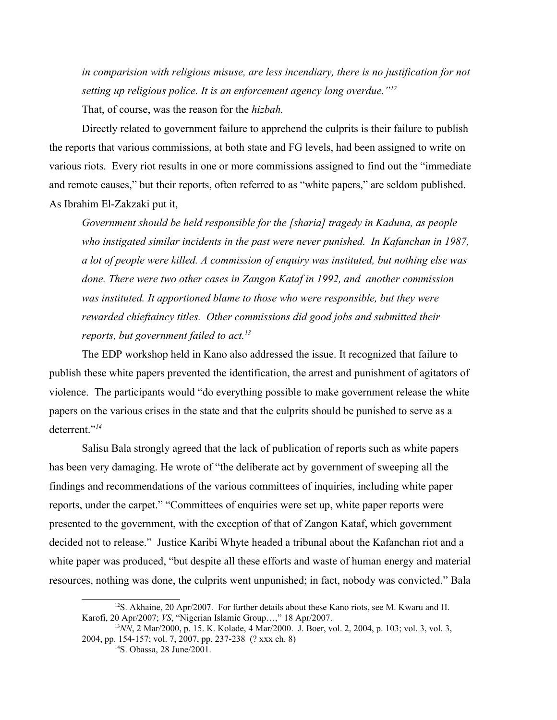*in comparision with religious misuse, are less incendiary, there is no justification for not setting up religious police. It is an enforcement agency long overdue."[12](#page-4-0)* That, of course, was the reason for the *hizbah.* 

Directly related to government failure to apprehend the culprits is their failure to publish the reports that various commissions, at both state and FG levels, had been assigned to write on various riots. Every riot results in one or more commissions assigned to find out the "immediate and remote causes," but their reports, often referred to as "white papers," are seldom published. As Ibrahim El-Zakzaki put it,

*Government should be held responsible for the [sharia] tragedy in Kaduna, as people*  who instigated similar incidents in the past were never punished. In Kafanchan in 1987, *a lot of people were killed. A commission of enquiry was instituted, but nothing else was done. There were two other cases in Zangon Kataf in 1992, and another commission was instituted. It apportioned blame to those who were responsible, but they were rewarded chieftaincy titles. Other commissions did good jobs and submitted their reports, but government failed to act.[13](#page-4-1)*

The EDP workshop held in Kano also addressed the issue. It recognized that failure to publish these white papers prevented the identification, the arrest and punishment of agitators of violence. The participants would "do everything possible to make government release the white papers on the various crises in the state and that the culprits should be punished to serve as a deterrent."<sup>[14](#page-4-2)</sup>

Salisu Bala strongly agreed that the lack of publication of reports such as white papers has been very damaging. He wrote of "the deliberate act by government of sweeping all the findings and recommendations of the various committees of inquiries, including white paper reports, under the carpet." "Committees of enquiries were set up, white paper reports were presented to the government, with the exception of that of Zangon Kataf, which government decided not to release." Justice Karibi Whyte headed a tribunal about the Kafanchan riot and a white paper was produced, "but despite all these efforts and waste of human energy and material resources, nothing was done, the culprits went unpunished; in fact, nobody was convicted." Bala

<span id="page-4-0"></span> $12$ S. Akhaine, 20 Apr/2007. For further details about these Kano riots, see M. Kwaru and H. Karofi, 20 Apr/2007; *VS*, "Nigerian Islamic Group…," 18 Apr/2007.

<sup>&</sup>lt;sup>13</sup>NN, 2 Mar/2000, p. 15. K. Kolade, 4 Mar/2000. J. Boer, vol. 2, 2004, p. 103; vol. 3, vol. 3, 2004, pp. 154-157; vol. 7, 2007, pp. 237-238 (? xxx ch. 8)

<span id="page-4-2"></span><span id="page-4-1"></span><sup>14</sup>S. Obassa, 28 June/2001.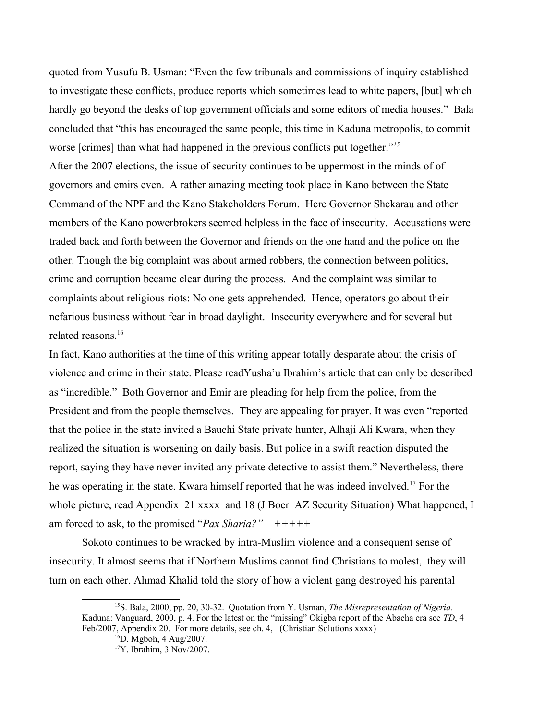quoted from Yusufu B. Usman: "Even the few tribunals and commissions of inquiry established to investigate these conflicts, produce reports which sometimes lead to white papers, [but] which hardly go beyond the desks of top government officials and some editors of media houses." Bala concluded that "this has encouraged the same people, this time in Kaduna metropolis, to commit worse [crimes] than what had happened in the previous conflicts put together."*[15](#page-5-0)*

After the 2007 elections, the issue of security continues to be uppermost in the minds of of governors and emirs even. A rather amazing meeting took place in Kano between the State Command of the NPF and the Kano Stakeholders Forum. Here Governor Shekarau and other members of the Kano powerbrokers seemed helpless in the face of insecurity. Accusations were traded back and forth between the Governor and friends on the one hand and the police on the other. Though the big complaint was about armed robbers, the connection between politics, crime and corruption became clear during the process. And the complaint was similar to complaints about religious riots: No one gets apprehended. Hence, operators go about their nefarious business without fear in broad daylight. Insecurity everywhere and for several but related reasons.<sup>[16](#page-5-1)</sup>

In fact, Kano authorities at the time of this writing appear totally desparate about the crisis of violence and crime in their state. Please readYusha'u Ibrahim's article that can only be described as "incredible." Both Governor and Emir are pleading for help from the police, from the President and from the people themselves. They are appealing for prayer. It was even "reported that the police in the state invited a Bauchi State private hunter, Alhaji Ali Kwara, when they realized the situation is worsening on daily basis. But police in a swift reaction disputed the report, saying they have never invited any private detective to assist them." Nevertheless, there he was operating in the state. Kwara himself reported that he was indeed involved.[17](#page-5-2) For the whole picture, read Appendix 21 xxxx and 18 (J Boer AZ Security Situation) What happened, I am forced to ask, to the promised "*Pax Sharia?" +++++*

Sokoto continues to be wracked by intra-Muslim violence and a consequent sense of insecurity. It almost seems that if Northern Muslims cannot find Christians to molest, they will turn on each other. Ahmad Khalid told the story of how a violent gang destroyed his parental

<sup>15</sup>S. Bala, 2000, pp. 20, 30-32. Quotation from Y. Usman, *The Misrepresentation of Nigeria.* Kaduna: Vanguard, 2000, p. 4. For the latest on the "missing" Okigba report of the Abacha era see *TD*, 4 Feb/2007, Appendix 20. For more details, see ch. 4, (Christian Solutions xxxx)

<span id="page-5-1"></span><span id="page-5-0"></span><sup>16</sup>D. Mgboh, 4 Aug/2007.

<span id="page-5-2"></span><sup>17</sup>Y. Ibrahim, 3 Nov/2007.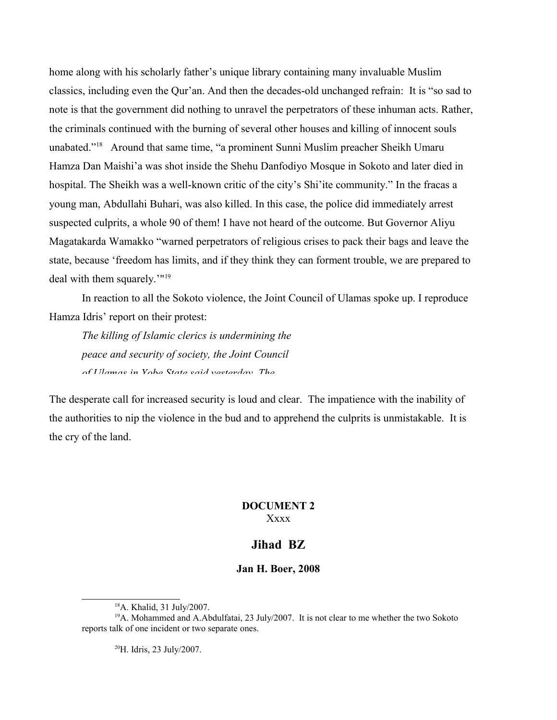home along with his scholarly father's unique library containing many invaluable Muslim classics, including even the Qur'an. And then the decades-old unchanged refrain: It is "so sad to note is that the government did nothing to unravel the perpetrators of these inhuman acts. Rather, the criminals continued with the burning of several other houses and killing of innocent souls unabated."[18](#page-6-0) Around that same time, "a prominent Sunni Muslim preacher Sheikh Umaru Hamza Dan Maishi'a was shot inside the Shehu Danfodiyo Mosque in Sokoto and later died in hospital. The Sheikh was a well-known critic of the city's Shi'ite community." In the fracas a young man, Abdullahi Buhari, was also killed. In this case, the police did immediately arrest suspected culprits, a whole 90 of them! I have not heard of the outcome. But Governor Aliyu Magatakarda Wamakko "warned perpetrators of religious crises to pack their bags and leave the state, because 'freedom has limits, and if they think they can forment trouble, we are prepared to deal with them squarely.'"<sup>[19](#page-6-1)</sup>

In reaction to all the Sokoto violence, the Joint Council of Ulamas spoke up. I reproduce Hamza Idris' report on their protest:

*The killing of Islamic clerics is undermining the peace and security of society, the Joint Council of Ulamas in Yobe State said yesterday. The* 

The desperate call for increased security is loud and clear. The impatience with the inability of the authorities to nip the violence in the bud and to apprehend the culprits is unmistakable. It is the cry of the land.

### **DOCUMENT 2** Xxxx

## **Jihad BZ**

#### **Jan H. Boer, 2008**

<span id="page-6-2"></span><sup>20</sup>H. Idris, 23 July/2007.

<span id="page-6-1"></span><span id="page-6-0"></span><sup>18</sup>A. Khalid, 31 July/2007.

<sup>&</sup>lt;sup>19</sup>A. Mohammed and A.Abdulfatai, 23 July/2007. It is not clear to me whether the two Sokoto reports talk of one incident or two separate ones.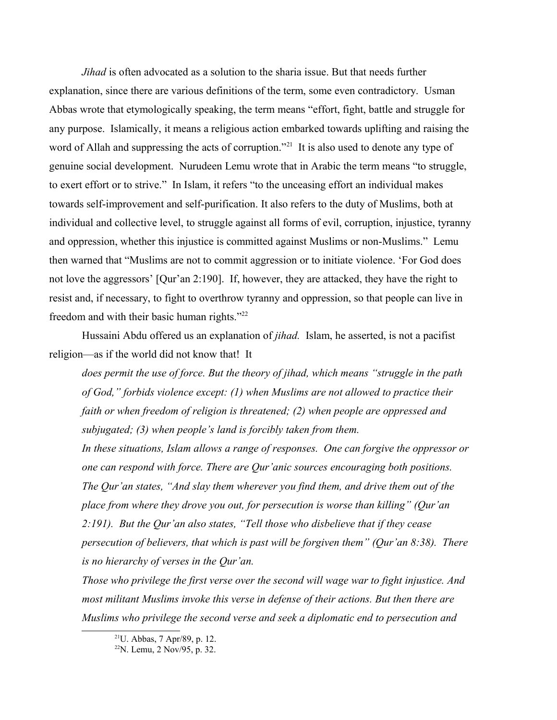*Jihad* is often advocated as a solution to the sharia issue. But that needs further explanation, since there are various definitions of the term, some even contradictory. Usman Abbas wrote that etymologically speaking, the term means "effort, fight, battle and struggle for any purpose. Islamically, it means a religious action embarked towards uplifting and raising the word of Allah and suppressing the acts of corruption."<sup>[21](#page-7-0)</sup> It is also used to denote any type of genuine social development. Nurudeen Lemu wrote that in Arabic the term means "to struggle, to exert effort or to strive." In Islam, it refers "to the unceasing effort an individual makes towards self-improvement and self-purification. It also refers to the duty of Muslims, both at individual and collective level, to struggle against all forms of evil, corruption, injustice, tyranny and oppression, whether this injustice is committed against Muslims or non-Muslims." Lemu then warned that "Muslims are not to commit aggression or to initiate violence. 'For God does not love the aggressors' [Qur'an 2:190]. If, however, they are attacked, they have the right to resist and, if necessary, to fight to overthrow tyranny and oppression, so that people can live in freedom and with their basic human rights."[22](#page-7-1)

Hussaini Abdu offered us an explanation of *jihad.* Islam, he asserted, is not a pacifist religion—as if the world did not know that! It

*does permit the use of force. But the theory of jihad, which means "struggle in the path of God," forbids violence except: (1) when Muslims are not allowed to practice their faith or when freedom of religion is threatened; (2) when people are oppressed and subjugated; (3) when people's land is forcibly taken from them.*

*In these situations, Islam allows a range of responses. One can forgive the oppressor or one can respond with force. There are Qur'anic sources encouraging both positions. The Qur'an states, "And slay them wherever you find them, and drive them out of the place from where they drove you out, for persecution is worse than killing" (Qur'an 2:191). But the Qur'an also states, "Tell those who disbelieve that if they cease persecution of believers, that which is past will be forgiven them" (Qur'an 8:38). There is no hierarchy of verses in the Qur'an.*

*Those who privilege the first verse over the second will wage war to fight injustice. And most militant Muslims invoke this verse in defense of their actions. But then there are Muslims who privilege the second verse and seek a diplomatic end to persecution and* 

<span id="page-7-0"></span><sup>21</sup>U. Abbas, 7 Apr/89, p. 12.

<span id="page-7-1"></span> $2^{22}$ N. Lemu, 2 Nov/95, p. 32.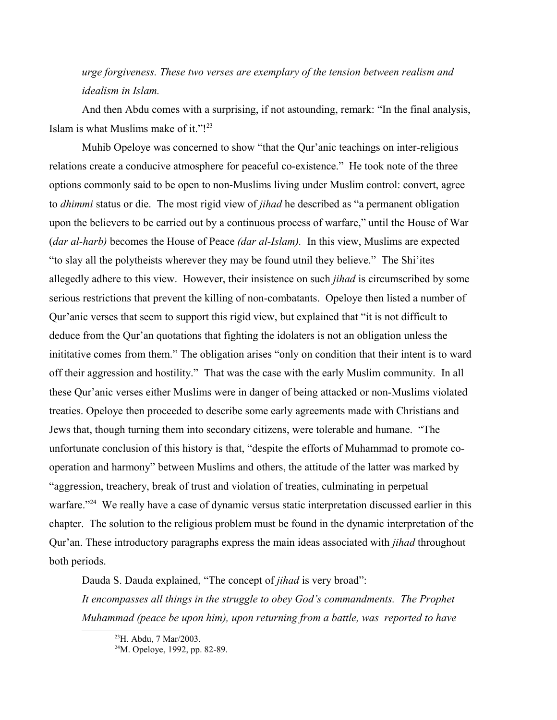*urge forgiveness. These two verses are exemplary of the tension between realism and idealism in Islam.*

And then Abdu comes with a surprising, if not astounding, remark: "In the final analysis, Islam is what Muslims make of it."![23](#page-8-0)

Muhib Opeloye was concerned to show "that the Qur'anic teachings on inter-religious relations create a conducive atmosphere for peaceful co-existence." He took note of the three options commonly said to be open to non-Muslims living under Muslim control: convert, agree to *dhimmi* status or die. The most rigid view of *jihad* he described as "a permanent obligation upon the believers to be carried out by a continuous process of warfare," until the House of War (*dar al-harb)* becomes the House of Peace *(dar al-Islam).* In this view, Muslims are expected "to slay all the polytheists wherever they may be found utnil they believe." The Shi'ites allegedly adhere to this view. However, their insistence on such *jihad* is circumscribed by some serious restrictions that prevent the killing of non-combatants. Opeloye then listed a number of Qur'anic verses that seem to support this rigid view, but explained that "it is not difficult to deduce from the Qur'an quotations that fighting the idolaters is not an obligation unless the inititative comes from them." The obligation arises "only on condition that their intent is to ward off their aggression and hostility." That was the case with the early Muslim community. In all these Qur'anic verses either Muslims were in danger of being attacked or non-Muslims violated treaties. Opeloye then proceeded to describe some early agreements made with Christians and Jews that, though turning them into secondary citizens, were tolerable and humane. "The unfortunate conclusion of this history is that, "despite the efforts of Muhammad to promote cooperation and harmony" between Muslims and others, the attitude of the latter was marked by "aggression, treachery, break of trust and violation of treaties, culminating in perpetual warfare."<sup>[24](#page-8-1)</sup> We really have a case of dynamic versus static interpretation discussed earlier in this chapter. The solution to the religious problem must be found in the dynamic interpretation of the Qur'an. These introductory paragraphs express the main ideas associated with *jihad* throughout both periods.

Dauda S. Dauda explained, "The concept of *jihad* is very broad":

*It encompasses all things in the struggle to obey God's commandments. The Prophet Muhammad (peace be upon him), upon returning from a battle, was reported to have* 

<span id="page-8-0"></span><sup>23</sup>H. Abdu, 7 Mar/2003.

<span id="page-8-1"></span><sup>24</sup>M. Opeloye, 1992, pp. 82-89.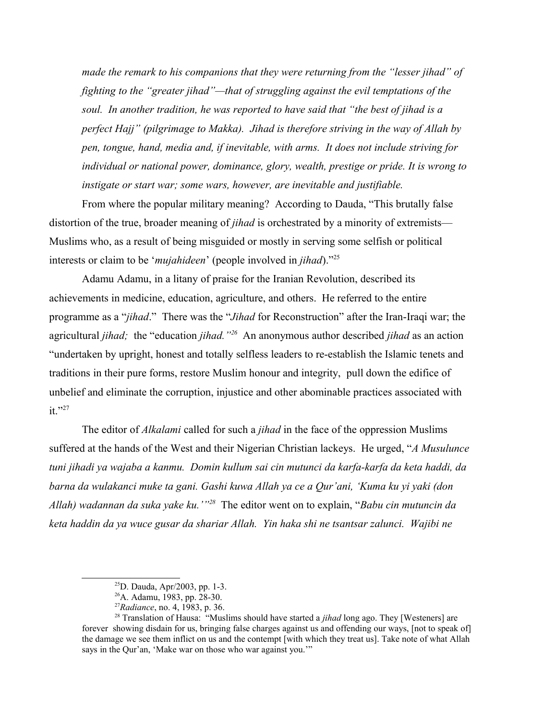*made the remark to his companions that they were returning from the "lesser jihad" of fighting to the "greater jihad"—that of struggling against the evil temptations of the soul. In another tradition, he was reported to have said that "the best of jihad is a perfect Hajj" (pilgrimage to Makka). Jihad is therefore striving in the way of Allah by pen, tongue, hand, media and, if inevitable, with arms. It does not include striving for individual or national power, dominance, glory, wealth, prestige or pride. It is wrong to instigate or start war; some wars, however, are inevitable and justifiable.*

From where the popular military meaning? According to Dauda, "This brutally false distortion of the true, broader meaning of *jihad* is orchestrated by a minority of extremists— Muslims who, as a result of being misguided or mostly in serving some selfish or political interests or claim to be '*mujahideen*' (people involved in *jihad*)."[25](#page-9-0)

Adamu Adamu, in a litany of praise for the Iranian Revolution, described its achievements in medicine, education, agriculture, and others. He referred to the entire programme as a "*jihad*." There was the "*Jihad* for Reconstruction" after the Iran-Iraqi war; the agricultural *jihad;* the "education *jihad."[26](#page-9-1)* An anonymous author described *jihad* as an action "undertaken by upright, honest and totally selfless leaders to re-establish the Islamic tenets and traditions in their pure forms, restore Muslim honour and integrity, pull down the edifice of unbelief and eliminate the corruption, injustice and other abominable practices associated with it."<sup>[27](#page-9-2)</sup>

The editor of *Alkalami* called for such a *jihad* in the face of the oppression Muslims suffered at the hands of the West and their Nigerian Christian lackeys. He urged, "*A Musulunce [tuni jihadi ya wajaba a kanmu. Domin kullum sai cin mutunci da karfa-karfa da keta haddi, da](#page-6-2)  barna da wulakanci muke ta gani. Gashi kuwa Allah ya ce a Qur'ani, 'Kuma ku yi yaki (don Allah) wadannan da suka yake ku.'"[28](#page-9-3)* The editor went on to explain, "*Babu cin mutuncin da keta haddin da ya wuce gusar da shariar Allah. Yin haka shi ne tsantsar zalunci. Wajibi ne* 

<span id="page-9-0"></span><sup>25</sup>D. Dauda, Apr/2003, pp. 1-3.

<span id="page-9-1"></span><sup>26</sup>A. Adamu, 1983, pp. 28-30.

<span id="page-9-3"></span><span id="page-9-2"></span><sup>27</sup>*Radiance*, no. 4, 1983, p. 36.

<sup>28</sup> Translation of Hausa: "Muslims should have started a *jihad* long ago. They [Westeners] are forever showing disdain for us, bringing false charges against us and offending our ways, [not to speak of] the damage we see them inflict on us and the contempt [with which they treat us]. Take note of what Allah says in the Qur'an, 'Make war on those who war against you.'"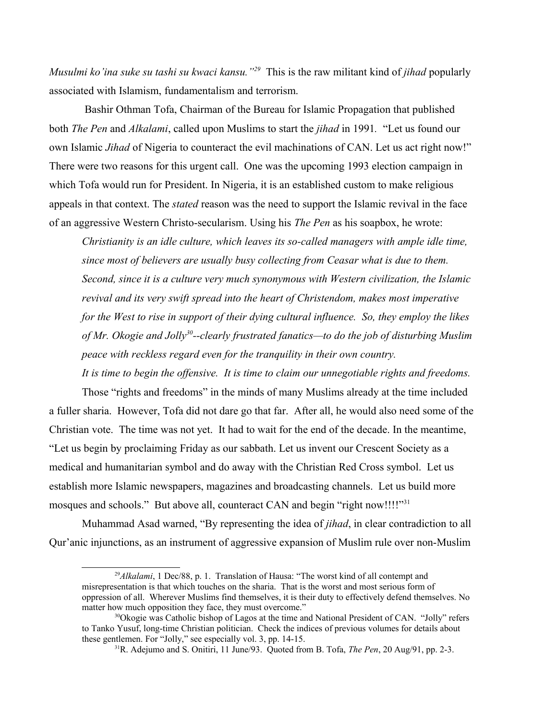*Musulmi ko'ina suke su tashi su kwaci kansu."[29](#page-10-0)* This is the raw militant kind of *jihad* popularly associated with Islamism, fundamentalism and terrorism.

 Bashir Othman Tofa, Chairman of the Bureau for Islamic Propagation that published both *The Pen* and *Alkalami*, called upon Muslims to start the *jihad* in 1991*.* "Let us found our own Islamic *Jihad* of Nigeria to counteract the evil machinations of CAN. Let us act right now!" There were two reasons for this urgent call. One was the upcoming 1993 election campaign in which Tofa would run for President. In Nigeria, it is an established custom to make religious appeals in that context. The *stated* reason was the need to support the Islamic revival in the face of an aggressive Western Christo-secularism. Using his *The Pen* as his soapbox, he wrote:

*Christianity is an idle culture, which leaves its so-called managers with ample idle time, since most of believers are usually busy collecting from Ceasar what is due to them. Second, since it is a culture very much synonymous with Western civilization, the Islamic revival and its very swift spread into the heart of Christendom, makes most imperative for the West to rise in support of their dying cultural influence. So, they employ the likes of Mr. Okogie and Jolly[30](#page-10-1)--clearly frustrated fanatics—to do the job of disturbing Muslim peace with reckless regard even for the tranquility in their own country.*

*It is time to begin the offensive. It is time to claim our unnegotiable rights and freedoms.* Those "rights and freedoms" in the minds of many Muslims already at the time included a fuller sharia. However, Tofa did not dare go that far. After all, he would also need some of the Christian vote. The time was not yet. It had to wait for the end of the decade. In the meantime, "Let us begin by proclaiming Friday as our sabbath. Let us invent our Crescent Society as a medical and humanitarian symbol and do away with the Christian Red Cross symbol. Let us establish more Islamic newspapers, magazines and broadcasting channels. Let us build more mosques and schools." But above all, counteract CAN and begin "right now!!!!"<sup>[31](#page-10-2)</sup>

Muhammad Asad warned, "By representing the idea of *jihad*, in clear contradiction to all Qur'anic injunctions, as an instrument of aggressive expansion of Muslim rule over non-Muslim

<span id="page-10-0"></span><sup>&</sup>lt;sup>29</sup>Alkalami, 1 Dec/88, p. 1. Translation of Hausa: "The worst kind of all contempt and misrepresentation is that which touches on the sharia. That is the worst and most serious form of oppression of all. Wherever Muslims find themselves, it is their duty to effectively defend themselves. No matter how much opposition they face, they must overcome."

<sup>&</sup>lt;sup>30</sup>Okogie was Catholic bishop of Lagos at the time and National President of CAN. "Jolly" refers to Tanko Yusuf, long-time Christian politician. Check the indices of previous volumes for details about these gentlemen. For "Jolly," see especially vol. 3, pp. 14-15.

<span id="page-10-2"></span><span id="page-10-1"></span><sup>31</sup>R. Adejumo and S. Onitiri, 11 June/93. Quoted from B. Tofa, *The Pen*, 20 Aug/91, pp. 2-3.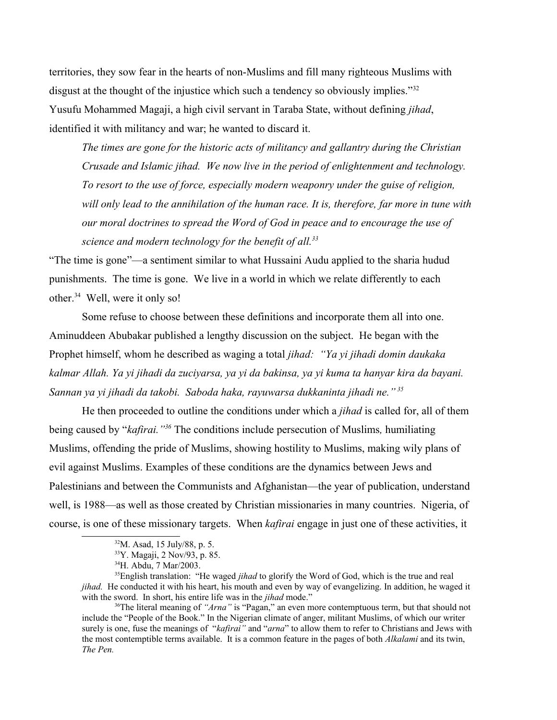territories, they sow fear in the hearts of non-Muslims and fill many righteous Muslims with disgust at the thought of the injustice which such a tendency so obviously implies."<sup>[32](#page-11-0)</sup> Yusufu Mohammed Magaji, a high civil servant in Taraba State, without defining *jihad*, identified it with militancy and war; he wanted to discard it.

*The times are gone for the historic acts of militancy and gallantry during the Christian Crusade and Islamic jihad. We now live in the period of enlightenment and technology. To resort to the use of force, especially modern weaponry under the guise of religion, will only lead to the annihilation of the human race. It is, therefore, far more in tune with our moral doctrines to spread the Word of God in peace and to encourage the use of science and modern technology for the benefit of all.[33](#page-11-1)*

"The time is gone"—a sentiment similar to what Hussaini Audu applied to the sharia hudud punishments. The time is gone. We live in a world in which we relate differently to each other.[34](#page-11-2) Well, were it only so!

Some refuse to choose between these definitions and incorporate them all into one. Aminuddeen Abubakar published a lengthy discussion on the subject. He began with the Prophet himself, whom he described as waging a total *jihad: "Ya yi jihadi domin daukaka kalmar Allah. Ya yi jihadi da zuciyarsa, ya yi da bakinsa, ya yi kuma ta hanyar kira da bayani. Sannan ya yi jihadi da takobi. Saboda haka, rayuwarsa dukkaninta jihadi ne." [35](#page-11-3)*

He then proceeded to outline the conditions under which a *jihad* is called for, all of them being caused by "*kafirai."[36](#page-11-4)* The conditions include persecution of Muslims*,* humiliating Muslims, offending the pride of Muslims, showing hostility to Muslims, making wily plans of evil against Muslims. Examples of these conditions are the dynamics between Jews and Palestinians and between the Communists and Afghanistan—the year of publication, understand well, is 1988—as well as those created by Christian missionaries in many countries. Nigeria, of course, is one of these missionary targets. When *kafirai* engage in just one of these activities, it

<sup>35</sup>English translation: "He waged *jihad* to glorify the Word of God, which is the true and real *jihad.* He conducted it with his heart, his mouth and even by way of evangelizing. In addition, he waged it with the sword. In short, his entire life was in the *jihad* mode."

<span id="page-11-4"></span><sup>36</sup>The literal meaning of "*Arna*" is "Pagan," an even more contemptuous term, but that should not include the "People of the Book." In the Nigerian climate of anger, militant Muslims, of which our writer surely is one, fuse the meanings of "*kafirai"* and "*arna*" to allow them to refer to Christians and Jews with the most contemptible terms available. It is a common feature in the pages of both *Alkalami* and its twin, *The Pen.* 

<span id="page-11-0"></span> $32$ M. Asad, 15 July/88, p. 5.

<span id="page-11-1"></span><sup>33</sup>Y. Magaji, 2 Nov/93, p. 85.

<span id="page-11-3"></span><span id="page-11-2"></span><sup>34</sup>H. Abdu, 7 Mar/2003.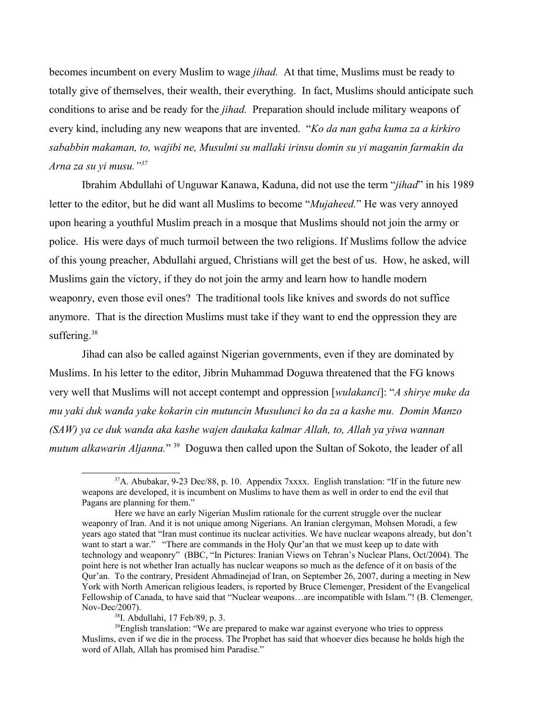becomes incumbent on every Muslim to wage *jihad.* At that time, Muslims must be ready to totally give of themselves, their wealth, their everything. In fact, Muslims should anticipate such conditions to arise and be ready for the *jihad.* Preparation should include military weapons of every kind, including any new weapons that are invented. "*Ko da nan gaba kuma za a kirkiro sababbin makaman, to, wajibi ne, Musulmi su mallaki irinsu domin su yi maganin farmakin da Arna za su yi musu."[37](#page-12-0)*

Ibrahim Abdullahi of Unguwar Kanawa, Kaduna, did not use the term "*jihad*" in his 1989 letter to the editor, but he did want all Muslims to become "*Mujaheed.*" He was very annoyed upon hearing a youthful Muslim preach in a mosque that Muslims should not join the army or police. His were days of much turmoil between the two religions. If Muslims follow the advice of this young preacher, Abdullahi argued, Christians will get the best of us. How, he asked, will Muslims gain the victory, if they do not join the army and learn how to handle modern weaponry, even those evil ones? The traditional tools like knives and swords do not suffice anymore. That is the direction Muslims must take if they want to end the oppression they are suffering.<sup>[38](#page-12-1)</sup>

Jihad can also be called against Nigerian governments, even if they are dominated by Muslims. In his letter to the editor, Jibrin Muhammad Doguwa threatened that the FG knows very well that Muslims will not accept contempt and oppression [*wulakanci*]: "*A shirye muke da mu yaki duk wanda yake kokarin cin mutuncin Musulunci ko da za a kashe mu. Domin Manzo (SAW) ya ce duk wanda aka kashe wajen daukaka kalmar Allah, to, Allah ya yiwa wannan mutum alkawarin Aljanna*."<sup>[39](#page-12-2)</sup> Doguwa then called upon the Sultan of Sokoto, the leader of all

<span id="page-12-0"></span> $37A$ . Abubakar, 9-23 Dec/88, p. 10. Appendix 7xxxx. English translation: "If in the future new weapons are developed, it is incumbent on Muslims to have them as well in order to end the evil that Pagans are planning for them."

Here we have an early Nigerian Muslim rationale for the current struggle over the nuclear weaponry of Iran. And it is not unique among Nigerians. An Iranian clergyman, Mohsen Moradi, a few years ago stated that "Iran must continue its nuclear activities. We have nuclear weapons already, but don't want to start a war." "There are commands in the Holy Qur'an that we must keep up to date with technology and weaponry" (BBC, "In Pictures: Iranian Views on Tehran's Nuclear Plans, Oct/2004). The point here is not whether Iran actually has nuclear weapons so much as the defence of it on basis of the Qur'an. To the contrary, President Ahmadinejad of Iran, on September 26, 2007, during a meeting in New York with North American religious leaders, is reported by Bruce Clemenger, President of the Evangelical Fellowship of Canada, to have said that "Nuclear weapons…are incompatible with Islam."! (B. Clemenger, Nov-Dec/2007).

<span id="page-12-2"></span><span id="page-12-1"></span> $38$ I. Abdullahi, 17 Feb/89, p. 3.

<sup>&</sup>lt;sup>39</sup>English translation: "We are prepared to make war against everyone who tries to oppress Muslims, even if we die in the process. The Prophet has said that whoever dies because he holds high the word of Allah, Allah has promised him Paradise."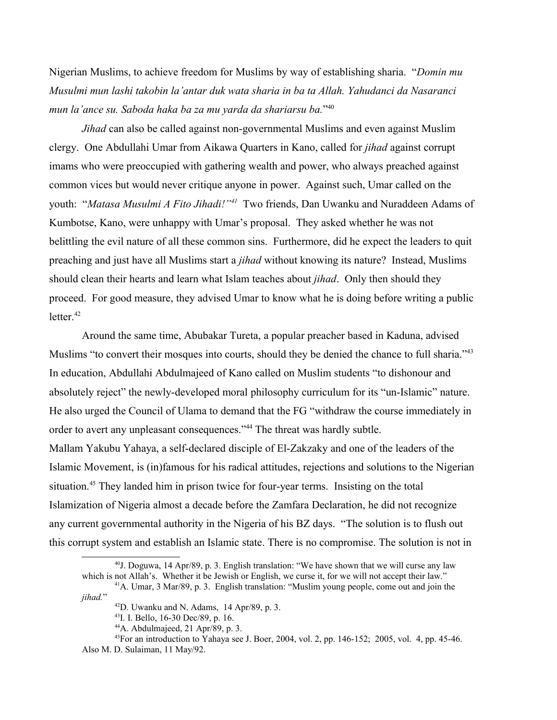Nigerian Muslims, to achieve freedom for Muslims by way of establishing sharia. "*Domin mu Musulmi mun lashi takobin la'antar duk wata sharia in ba ta Allah. Yahudanci da Nasaranci mun la'ance su. Saboda haka ba za mu yarda da shariarsu ba.*" [40](#page-13-0)

*Jihad* can also be called against non-governmental Muslims and even against Muslim clergy. One Abdullahi Umar from Aikawa Quarters in Kano, called for *jihad* against corrupt imams who were preoccupied with gathering wealth and power, who always preached against common vices but would never critique anyone in power. Against such, Umar called on the youth: "*Matasa Musulmi A Fito Jihadi!*"<sup>[41](#page-13-1)</sup> Two friends, Dan Uwanku and Nuraddeen Adams of Kumbotse, Kano, were unhappy with Umar's proposal. They asked whether he was not belittling the evil nature of all these common sins. Furthermore, did he expect the leaders to quit preaching and just have all Muslims start a *jihad* without knowing its nature? Instead, Muslims should clean their hearts and learn what Islam teaches about *jihad*. Only then should they proceed. For good measure, they advised Umar to know what he is doing before writing a public letter. $42$ 

Around the same time, Abubakar Tureta, a popular preacher based in Kaduna, advised Muslims "to convert their mosques into courts, should they be denied the chance to full sharia."<sup>[43](#page-13-3)</sup> In education, Abdullahi Abdulmajeed of Kano called on Muslim students "to dishonour and absolutely reject" the newly-developed moral philosophy curriculum for its "un-Islamic" nature. He also urged the Council of Ulama to demand that the FG "withdraw the course immediately in order to avert any unpleasant consequences."[44](#page-13-4) The threat was hardly subtle. Mallam Yakubu Yahaya, a self-declared disciple of El-Zakzaky and one of the leaders of the Islamic Movement, is (in)famous for his radical attitudes, rejections and solutions to the Nigerian situation.<sup>[45](#page-13-5)</sup> They landed him in prison twice for four-year terms. Insisting on the total Islamization of Nigeria almost a decade before the Zamfara Declaration, he did not recognize any current governmental authority in the Nigeria of his BZ days. "The solution is to flush out this corrupt system and establish an Islamic state. There is no compromise. The solution is not in

<span id="page-13-0"></span> $40$ J. Doguwa, 14 Apr/89, p. 3. English translation: "We have shown that we will curse any law which is not Allah's. Whether it be Jewish or English, we curse it, for we will not accept their law."

<sup>41</sup>A. Umar, 3 Mar/89, p. 3. English translation: "Muslim young people, come out and join the *jihad.*"

<span id="page-13-2"></span><span id="page-13-1"></span> $42$ D. Uwanku and N. Adams, 14 Apr/89, p. 3.

<span id="page-13-3"></span><sup>43</sup>I. I. Bello, 16-30 Dec/89, p. 16.

<span id="page-13-5"></span><span id="page-13-4"></span> $44A$ . Abdulmajeed, 21 Apr/89, p. 3.

 $45$ For an introduction to Yahaya see J. Boer, 2004, vol. 2, pp. 146-152; 2005, vol. 4, pp. 45-46. Also M. D. Sulaiman, 11 May/92.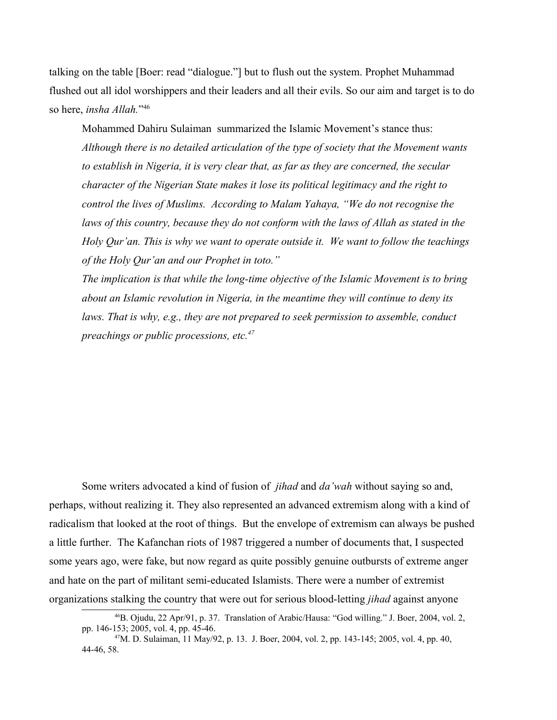talking on the table [Boer: read "dialogue."] but to flush out the system. Prophet Muhammad flushed out all idol worshippers and their leaders and all their evils. So our aim and target is to do so here, *insha Allah.*" [46](#page-14-0)

Mohammed Dahiru Sulaiman summarized the Islamic Movement's stance thus: *Although there is no detailed articulation of the type of society that the Movement wants to establish in Nigeria, it is very clear that, as far as they are concerned, the secular character of the Nigerian State makes it lose its political legitimacy and the right to control the lives of Muslims. According to Malam Yahaya, "We do not recognise the*  laws of this country, because they do not conform with the laws of Allah as stated in the *Holy Qur'an. This is why we want to operate outside it. We want to follow the teachings of the Holy Qur'an and our Prophet in toto."*

*The implication is that while the long-time objective of the Islamic Movement is to bring about an Islamic revolution in Nigeria, in the meantime they will continue to deny its laws. That is why, e.g., they are not prepared to seek permission to assemble, conduct preachings or public processions, etc.[47](#page-14-1)*

Some writers advocated a kind of fusion of *jihad* and *da'wah* without saying so and, perhaps, without realizing it. They also represented an advanced extremism along with a kind of radicalism that looked at the root of things. But the envelope of extremism can always be pushed a little further. The Kafanchan riots of 1987 triggered a number of documents that, I suspected some years ago, were fake, but now regard as quite possibly genuine outbursts of extreme anger and hate on the part of militant semi-educated Islamists. There were a number of extremist organizations stalking the country that were out for serious blood-letting *jihad* against anyone

<span id="page-14-0"></span><sup>46</sup>B. Ojudu, 22 Apr/91, p. 37. Translation of Arabic/Hausa: "God willing." J. Boer, 2004, vol. 2, pp. 146-153; 2005, vol. 4, pp. 45-46.

<span id="page-14-1"></span><sup>47</sup>M. D. Sulaiman, 11 May/92, p. 13. J. Boer, 2004, vol. 2, pp. 143-145; 2005, vol. 4, pp. 40, 44-46, 58.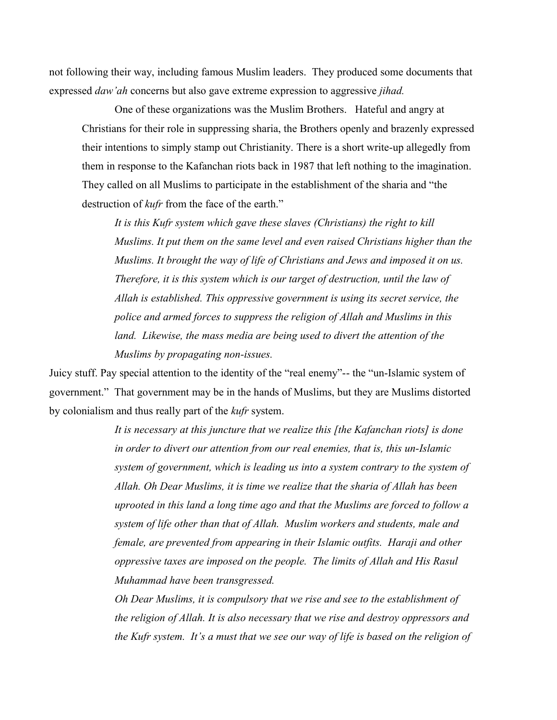not following their way, including famous Muslim leaders. They produced some documents that expressed *daw'ah* concerns but also gave extreme expression to aggressive *jihad.* 

One of these organizations was the Muslim Brothers. Hateful and angry at Christians for their role in suppressing sharia, the Brothers openly and brazenly expressed their intentions to simply stamp out Christianity. There is a short write-up allegedly from them in response to the Kafanchan riots back in 1987 that left nothing to the imagination. They called on all Muslims to participate in the establishment of the sharia and "the destruction of *kufr* from the face of the earth."

*It is this Kufr system which gave these slaves (Christians) the right to kill Muslims. It put them on the same level and even raised Christians higher than the Muslims. It brought the way of life of Christians and Jews and imposed it on us. Therefore, it is this system which is our target of destruction, until the law of Allah is established. This oppressive government is using its secret service, the police and armed forces to suppress the religion of Allah and Muslims in this land. Likewise, the mass media are being used to divert the attention of the Muslims by propagating non-issues.* 

Juicy stuff. Pay special attention to the identity of the "real enemy"-- the "un-Islamic system of government." That government may be in the hands of Muslims, but they are Muslims distorted by colonialism and thus really part of the *kufr* system.

> *It is necessary at this juncture that we realize this [the Kafanchan riots] is done in order to divert our attention from our real enemies, that is, this un-Islamic system of government, which is leading us into a system contrary to the system of Allah. Oh Dear Muslims, it is time we realize that the sharia of Allah has been uprooted in this land a long time ago and that the Muslims are forced to follow a system of life other than that of Allah. Muslim workers and students, male and female, are prevented from appearing in their Islamic outfits. Haraji and other oppressive taxes are imposed on the people. The limits of Allah and His Rasul Muhammad have been transgressed.*

> *Oh Dear Muslims, it is compulsory that we rise and see to the establishment of the religion of Allah. It is also necessary that we rise and destroy oppressors and the Kufr system. It's a must that we see our way of life is based on the religion of*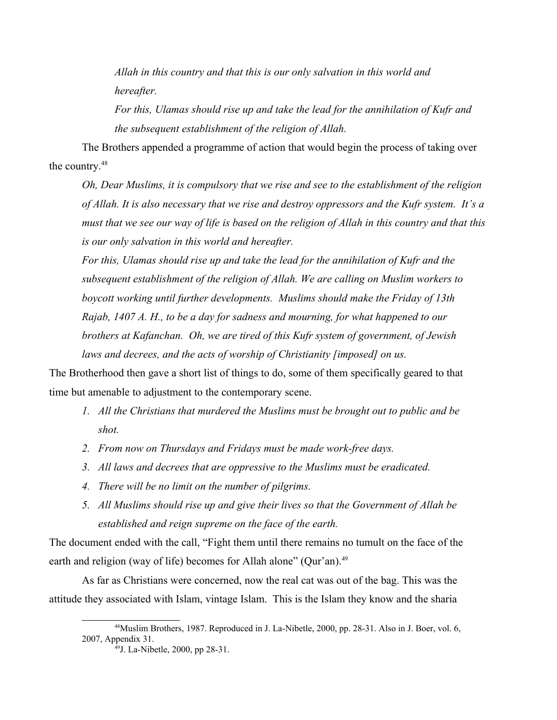*Allah in this country and that this is our only salvation in this world and hereafter.*

*For this, Ulamas should rise up and take the lead for the annihilation of Kufr and the subsequent establishment of the religion of Allah.*

The Brothers appended a programme of action that would begin the process of taking over the country.[48](#page-16-0)

*Oh, Dear Muslims, it is compulsory that we rise and see to the establishment of the religion of Allah. It is also necessary that we rise and destroy oppressors and the Kufr system. It's a must that we see our way of life is based on the religion of Allah in this country and that this is our only salvation in this world and hereafter.*

*For this, Ulamas should rise up and take the lead for the annihilation of Kufr and the subsequent establishment of the religion of Allah. We are calling on Muslim workers to boycott working until further developments. Muslims should make the Friday of 13th Rajab, 1407 A. H., to be a day for sadness and mourning, for what happened to our brothers at Kafanchan. Oh, we are tired of this Kufr system of government, of Jewish laws and decrees, and the acts of worship of Christianity [imposed] on us.* 

The Brotherhood then gave a short list of things to do, some of them specifically geared to that time but amenable to adjustment to the contemporary scene.

- *1. All the Christians that murdered the Muslims must be brought out to public and be shot.*
- *2. From now on Thursdays and Fridays must be made work-free days.*
- *3. All laws and decrees that are oppressive to the Muslims must be eradicated.*
- *4. There will be no limit on the number of pilgrims.*
- *5. All Muslims should rise up and give their lives so that the Government of Allah be established and reign supreme on the face of the earth.*

The document ended with the call, "Fight them until there remains no tumult on the face of the earth and religion (way of life) becomes for Allah alone" (Qur'an).<sup>[49](#page-16-1)</sup>

As far as Christians were concerned, now the real cat was out of the bag. This was the attitude they associated with Islam, vintage Islam. This is the Islam they know and the sharia

<sup>48</sup>Muslim Brothers, 1987. Reproduced in J. La-Nibetle, 2000, pp. 28-31. Also in J. Boer, vol. 6, 2007, Appendix 31.

<span id="page-16-1"></span><span id="page-16-0"></span> $^{49}$ J. La-Nibetle, 2000, pp 28-31.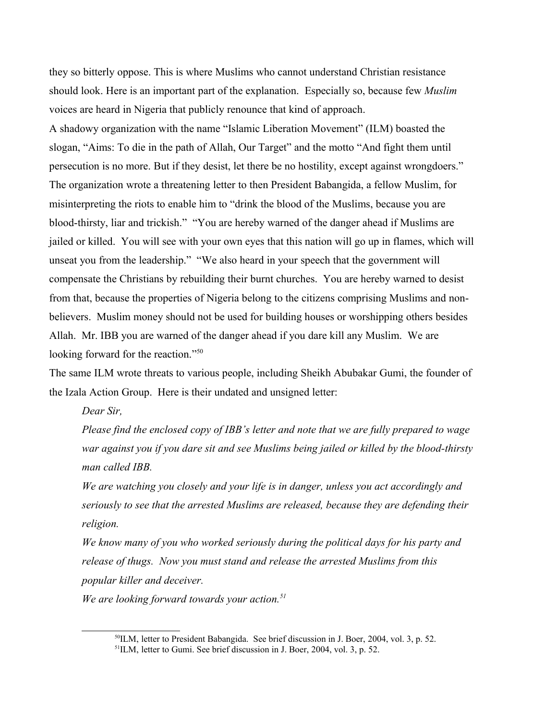they so bitterly oppose. This is where Muslims who cannot understand Christian resistance should look. Here is an important part of the explanation. Especially so, because few *Muslim* voices are heard in Nigeria that publicly renounce that kind of approach.

A shadowy organization with the name "Islamic Liberation Movement" (ILM) boasted the slogan, "Aims: To die in the path of Allah, Our Target" and the motto "And fight them until persecution is no more. But if they desist, let there be no hostility, except against wrongdoers." The organization wrote a threatening letter to then President Babangida, a fellow Muslim, for misinterpreting the riots to enable him to "drink the blood of the Muslims, because you are blood-thirsty, liar and trickish." "You are hereby warned of the danger ahead if Muslims are jailed or killed. You will see with your own eyes that this nation will go up in flames, which will unseat you from the leadership." "We also heard in your speech that the government will compensate the Christians by rebuilding their burnt churches. You are hereby warned to desist from that, because the properties of Nigeria belong to the citizens comprising Muslims and nonbelievers. Muslim money should not be used for building houses or worshipping others besides Allah. Mr. IBB you are warned of the danger ahead if you dare kill any Muslim. We are looking forward for the reaction."<sup>[50](#page-17-0)</sup>

The same ILM wrote threats to various people, including Sheikh Abubakar Gumi, the founder of the Izala Action Group. Here is their undated and unsigned letter:

*Dear Sir,*

*Please find the enclosed copy of IBB's letter and note that we are fully prepared to wage war against you if you dare sit and see Muslims being jailed or killed by the blood-thirsty man called IBB.* 

*We are watching you closely and your life is in danger, unless you act accordingly and seriously to see that the arrested Muslims are released, because they are defending their religion.* 

*We know many of you who worked seriously during the political days for his party and release of thugs. Now you must stand and release the arrested Muslims from this popular killer and deceiver.* 

*We are looking forward towards your action.[51](#page-17-1)*

<span id="page-17-1"></span><span id="page-17-0"></span><sup>&</sup>lt;sup>50</sup>ILM, letter to President Babangida. See brief discussion in J. Boer, 2004, vol. 3, p. 52. 51ILM, letter to Gumi. See brief discussion in J. Boer, 2004, vol. 3, p. 52.